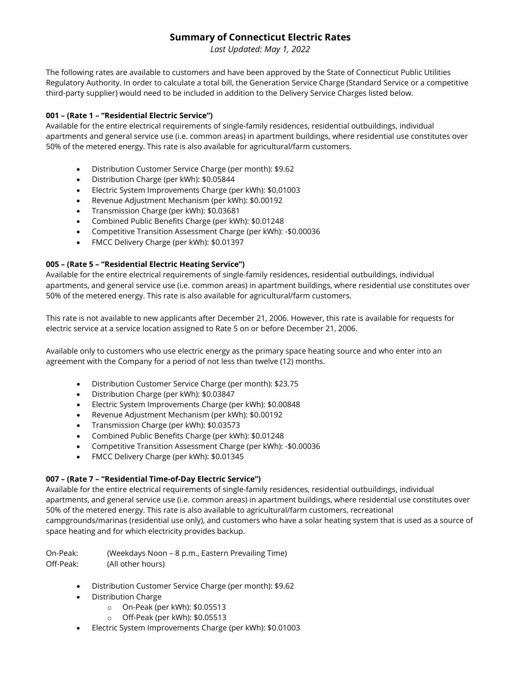# **Summary of Connecticut Electric Rates**

*Last Updated: May 1, 2022*

The following rates are available to customers and have been approved by the State of Connecticut Public Utilities Regulatory Authority. In order to calculate a total bill, the Generation Service Charge (Standard Service or a competitive third-party supplier) would need to be included in addition to the Delivery Service Charges listed below.

### **001 – (Rate 1 – "Residential Electric Service")**

Available for the entire electrical requirements of single-family residences, residential outbuildings, individual apartments and general service use (i.e. common areas) in apartment buildings, where residential use constitutes over 50% of the metered energy. This rate is also available for agricultural/farm customers.

- Distribution Customer Service Charge (per month): \$9.62
- Distribution Charge (per kWh): \$0.05844
- Electric System Improvements Charge (per kWh): \$0.01003
- Revenue Adjustment Mechanism (per kWh): \$0.00192
- Transmission Charge (per kWh): \$0.03681
- Combined Public Benefits Charge (per kWh): \$0.01248
- Competitive Transition Assessment Charge (per kWh): -\$0.00036
- FMCC Delivery Charge (per kWh): \$0.01397

# **005 – (Rate 5 – "Residential Electric Heating Service")**

Available for the entire electrical requirements of single-family residences, residential outbuildings, individual apartments, and general service use (i.e. common areas) in apartment buildings, where residential use constitutes over 50% of the metered energy. This rate is also available for agricultural/farm customers.

This rate is not available to new applicants after December 21, 2006. However, this rate is available for requests for electric service at a service location assigned to Rate 5 on or before December 21, 2006.

Available only to customers who use electric energy as the primary space heating source and who enter into an agreement with the Company for a period of not less than twelve (12) months.

- Distribution Customer Service Charge (per month): \$23.75
- Distribution Charge (per kWh): \$0.03847
- Electric System Improvements Charge (per kWh): \$0.00848
- Revenue Adjustment Mechanism (per kWh): \$0.00192
- Transmission Charge (per kWh): \$0.03573
- Combined Public Benefits Charge (per kWh): \$0.01248
- Competitive Transition Assessment Charge (per kWh): -\$0.00036
- FMCC Delivery Charge (per kWh): \$0.01345

### **007 – (Rate 7 – "Residential Time-of-Day Electric Service")**

Available for the entire electrical requirements of single-family residences, residential outbuildings, individual apartments, and general service use (i.e. common areas) in apartment buildings, where residential use constitutes over 50% of the metered energy. This rate is also available to agricultural/farm customers, recreational campgrounds/marinas (residential use only), and customers who have a solar heating system that is used as a source of space heating and for which electricity provides backup.

On-Peak: (Weekdays Noon – 8 p.m., Eastern Prevailing Time) Off-Peak: (All other hours)

- Distribution Customer Service Charge (per month): \$9.62
- Distribution Charge
	- o On-Peak (per kWh): \$0.05513
	- o Off-Peak (per kWh): \$0.05513
- Electric System Improvements Charge (per kWh): \$0.01003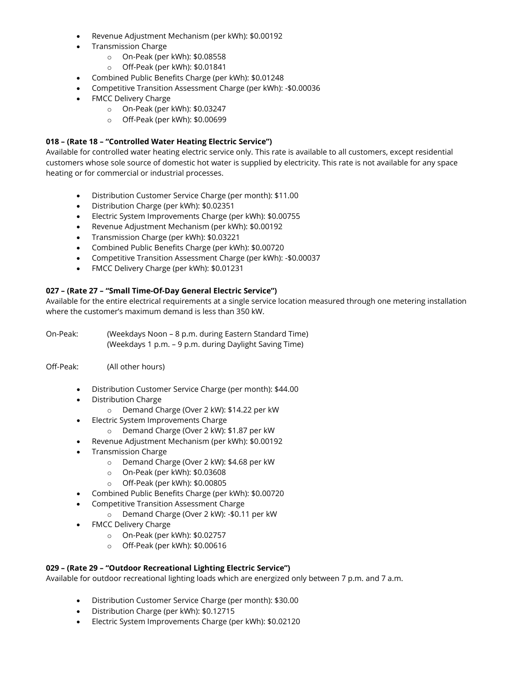- Revenue Adjustment Mechanism (per kWh): \$0.00192
- Transmission Charge
	- o On-Peak (per kWh): \$0.08558
	- o Off-Peak (per kWh): \$0.01841
- Combined Public Benefits Charge (per kWh): \$0.01248
- Competitive Transition Assessment Charge (per kWh): -\$0.00036
- FMCC Delivery Charge
	- o On-Peak (per kWh): \$0.03247
	- o Off-Peak (per kWh): \$0.00699

#### **018 – (Rate 18 – "Controlled Water Heating Electric Service")**

Available for controlled water heating electric service only. This rate is available to all customers, except residential customers whose sole source of domestic hot water is supplied by electricity. This rate is not available for any space heating or for commercial or industrial processes.

- Distribution Customer Service Charge (per month): \$11.00
- Distribution Charge (per kWh): \$0.02351
- Electric System Improvements Charge (per kWh): \$0.00755
- Revenue Adjustment Mechanism (per kWh): \$0.00192
- Transmission Charge (per kWh): \$0.03221
- Combined Public Benefits Charge (per kWh): \$0.00720
- Competitive Transition Assessment Charge (per kWh): -\$0.00037
- FMCC Delivery Charge (per kWh): \$0.01231

### **027 – (Rate 27 – "Small Time-Of-Day General Electric Service")**

Available for the entire electrical requirements at a single service location measured through one metering installation where the customer's maximum demand is less than 350 kW.

On-Peak: (Weekdays Noon – 8 p.m. during Eastern Standard Time) (Weekdays 1 p.m. – 9 p.m. during Daylight Saving Time)

Off-Peak: (All other hours)

- Distribution Customer Service Charge (per month): \$44.00
- Distribution Charge
	- o Demand Charge (Over 2 kW): \$14.22 per kW
- Electric System Improvements Charge
	- o Demand Charge (Over 2 kW): \$1.87 per kW
- Revenue Adjustment Mechanism (per kWh): \$0.00192
- Transmission Charge
	- o Demand Charge (Over 2 kW): \$4.68 per kW
	- o On-Peak (per kWh): \$0.03608
	- o Off-Peak (per kWh): \$0.00805
- Combined Public Benefits Charge (per kWh): \$0.00720
- Competitive Transition Assessment Charge
	- o Demand Charge (Over 2 kW): -\$0.11 per kW
- FMCC Delivery Charge
	- o On-Peak (per kWh): \$0.02757
	- o Off-Peak (per kWh): \$0.00616

#### **029 – (Rate 29 – "Outdoor Recreational Lighting Electric Service")**

Available for outdoor recreational lighting loads which are energized only between 7 p.m. and 7 a.m.

- Distribution Customer Service Charge (per month): \$30.00
- Distribution Charge (per kWh): \$0.12715
- Electric System Improvements Charge (per kWh): \$0.02120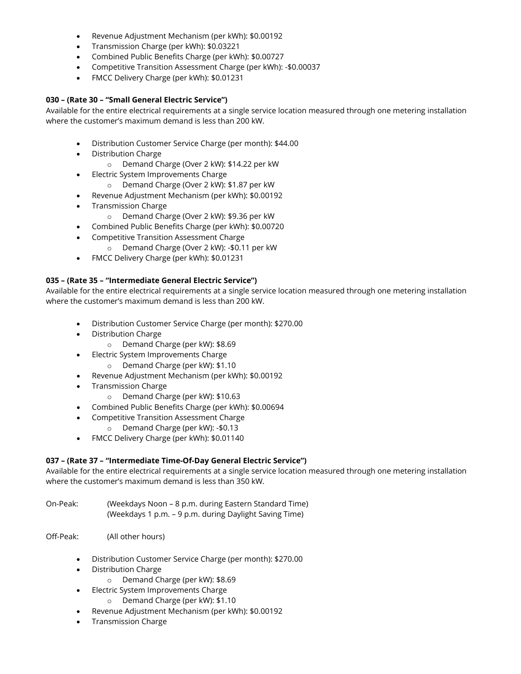- Revenue Adjustment Mechanism (per kWh): \$0.00192
- Transmission Charge (per kWh): \$0.03221
- Combined Public Benefits Charge (per kWh): \$0.00727
- Competitive Transition Assessment Charge (per kWh): -\$0.00037
- FMCC Delivery Charge (per kWh): \$0.01231

#### **030 – (Rate 30 – "Small General Electric Service")**

Available for the entire electrical requirements at a single service location measured through one metering installation where the customer's maximum demand is less than 200 kW.

- Distribution Customer Service Charge (per month): \$44.00
- Distribution Charge
	- o Demand Charge (Over 2 kW): \$14.22 per kW
- Electric System Improvements Charge
	- o Demand Charge (Over 2 kW): \$1.87 per kW
- Revenue Adjustment Mechanism (per kWh): \$0.00192
- Transmission Charge
	- o Demand Charge (Over 2 kW): \$9.36 per kW
- Combined Public Benefits Charge (per kWh): \$0.00720
- Competitive Transition Assessment Charge
	- o Demand Charge (Over 2 kW): -\$0.11 per kW
- FMCC Delivery Charge (per kWh): \$0.01231

#### **035 – (Rate 35 – "Intermediate General Electric Service")**

Available for the entire electrical requirements at a single service location measured through one metering installation where the customer's maximum demand is less than 200 kW.

- Distribution Customer Service Charge (per month): \$270.00
- Distribution Charge
	- o Demand Charge (per kW): \$8.69
- Electric System Improvements Charge
	- o Demand Charge (per kW): \$1.10
- Revenue Adjustment Mechanism (per kWh): \$0.00192
- Transmission Charge
	- o Demand Charge (per kW): \$10.63
- Combined Public Benefits Charge (per kWh): \$0.00694
- Competitive Transition Assessment Charge
	- o Demand Charge (per kW): -\$0.13
- FMCC Delivery Charge (per kWh): \$0.01140

#### **037 – (Rate 37 – "Intermediate Time-Of-Day General Electric Service")**

Available for the entire electrical requirements at a single service location measured through one metering installation where the customer's maximum demand is less than 350 kW.

- On-Peak: (Weekdays Noon 8 p.m. during Eastern Standard Time) (Weekdays 1 p.m. – 9 p.m. during Daylight Saving Time)
- Off-Peak: (All other hours)
	- Distribution Customer Service Charge (per month): \$270.00
	- Distribution Charge
		- o Demand Charge (per kW): \$8.69
	- Electric System Improvements Charge
		- o Demand Charge (per kW): \$1.10
	- Revenue Adjustment Mechanism (per kWh): \$0.00192
	- Transmission Charge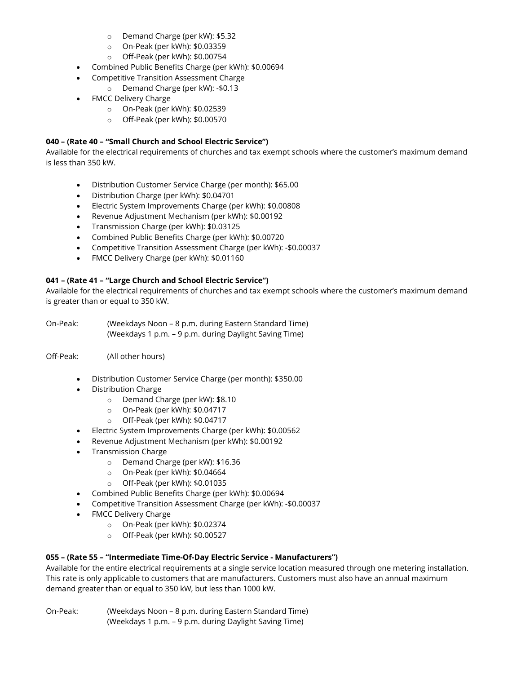- o Demand Charge (per kW): \$5.32
- o On-Peak (per kWh): \$0.03359
- o Off-Peak (per kWh): \$0.00754
- Combined Public Benefits Charge (per kWh): \$0.00694
- Competitive Transition Assessment Charge
	- o Demand Charge (per kW): -\$0.13
- FMCC Delivery Charge
	- o On-Peak (per kWh): \$0.02539
	- o Off-Peak (per kWh): \$0.00570

## **040 – (Rate 40 – "Small Church and School Electric Service")**

Available for the electrical requirements of churches and tax exempt schools where the customer's maximum demand is less than 350 kW.

- Distribution Customer Service Charge (per month): \$65.00
- Distribution Charge (per kWh): \$0.04701
- Electric System Improvements Charge (per kWh): \$0.00808
- Revenue Adjustment Mechanism (per kWh): \$0.00192
- Transmission Charge (per kWh): \$0.03125
- Combined Public Benefits Charge (per kWh): \$0.00720
- Competitive Transition Assessment Charge (per kWh): -\$0.00037
- FMCC Delivery Charge (per kWh): \$0.01160

### **041 – (Rate 41 – "Large Church and School Electric Service")**

Available for the electrical requirements of churches and tax exempt schools where the customer's maximum demand is greater than or equal to 350 kW.

On-Peak: (Weekdays Noon – 8 p.m. during Eastern Standard Time) (Weekdays 1 p.m. – 9 p.m. during Daylight Saving Time)

Off-Peak: (All other hours)

- Distribution Customer Service Charge (per month): \$350.00
- Distribution Charge
	- o Demand Charge (per kW): \$8.10
	- o On-Peak (per kWh): \$0.04717
	- o Off-Peak (per kWh): \$0.04717
- Electric System Improvements Charge (per kWh): \$0.00562
- Revenue Adjustment Mechanism (per kWh): \$0.00192
- Transmission Charge
	- o Demand Charge (per kW): \$16.36
	- o On-Peak (per kWh): \$0.04664
	- o Off-Peak (per kWh): \$0.01035
- Combined Public Benefits Charge (per kWh): \$0.00694
- Competitive Transition Assessment Charge (per kWh): -\$0.00037
- FMCC Delivery Charge
	- o On-Peak (per kWh): \$0.02374
	- o Off-Peak (per kWh): \$0.00527

### **055 – (Rate 55 – "Intermediate Time-Of-Day Electric Service - Manufacturers")**

Available for the entire electrical requirements at a single service location measured through one metering installation. This rate is only applicable to customers that are manufacturers. Customers must also have an annual maximum demand greater than or equal to 350 kW, but less than 1000 kW.

On-Peak: (Weekdays Noon – 8 p.m. during Eastern Standard Time) (Weekdays 1 p.m. – 9 p.m. during Daylight Saving Time)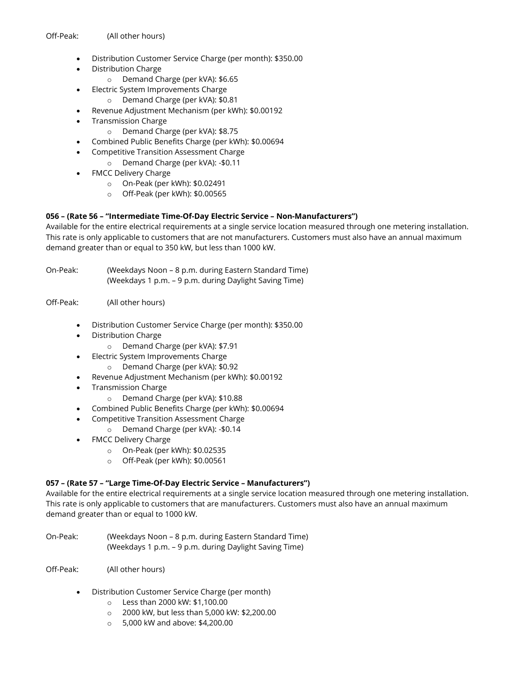- Distribution Customer Service Charge (per month): \$350.00
- Distribution Charge
	- o Demand Charge (per kVA): \$6.65
- Electric System Improvements Charge
	- o Demand Charge (per kVA): \$0.81
- Revenue Adjustment Mechanism (per kWh): \$0.00192
- Transmission Charge
	- o Demand Charge (per kVA): \$8.75
- Combined Public Benefits Charge (per kWh): \$0.00694
- Competitive Transition Assessment Charge
	- o Demand Charge (per kVA): -\$0.11
- FMCC Delivery Charge
	- o On-Peak (per kWh): \$0.02491
	- o Off-Peak (per kWh): \$0.00565

### **056 – (Rate 56 – "Intermediate Time-Of-Day Electric Service – Non-Manufacturers")**

Available for the entire electrical requirements at a single service location measured through one metering installation. This rate is only applicable to customers that are not manufacturers. Customers must also have an annual maximum demand greater than or equal to 350 kW, but less than 1000 kW.

On-Peak: (Weekdays Noon – 8 p.m. during Eastern Standard Time) (Weekdays 1 p.m. – 9 p.m. during Daylight Saving Time)

#### Off-Peak: (All other hours)

- Distribution Customer Service Charge (per month): \$350.00
- Distribution Charge
	- o Demand Charge (per kVA): \$7.91
- Electric System Improvements Charge
	- o Demand Charge (per kVA): \$0.92
- Revenue Adjustment Mechanism (per kWh): \$0.00192
- Transmission Charge
	- o Demand Charge (per kVA): \$10.88
- Combined Public Benefits Charge (per kWh): \$0.00694
	- Competitive Transition Assessment Charge
		- o Demand Charge (per kVA): -\$0.14
- FMCC Delivery Charge
	- o On-Peak (per kWh): \$0.02535
	- o Off-Peak (per kWh): \$0.00561

### **057 – (Rate 57 – "Large Time-Of-Day Electric Service – Manufacturers")**

Available for the entire electrical requirements at a single service location measured through one metering installation. This rate is only applicable to customers that are manufacturers. Customers must also have an annual maximum demand greater than or equal to 1000 kW.

- On-Peak: (Weekdays Noon 8 p.m. during Eastern Standard Time) (Weekdays 1 p.m. – 9 p.m. during Daylight Saving Time)
- Off-Peak: (All other hours)
	- Distribution Customer Service Charge (per month)
		- o Less than 2000 kW: \$1,100.00
		- o 2000 kW, but less than 5,000 kW: \$2,200.00
		- o 5,000 kW and above: \$4,200.00